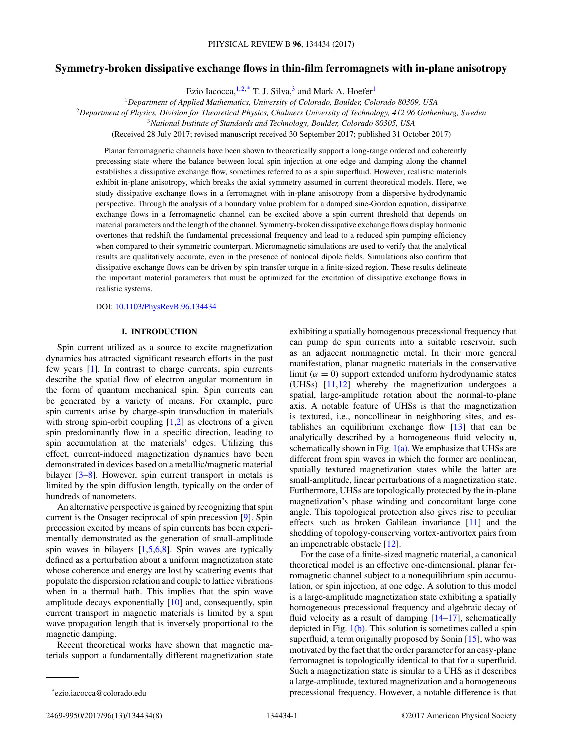# **Symmetry-broken dissipative exchange flows in thin-film ferromagnets with in-plane anisotropy**

Ezio Iacocca,  $1, 2, *$  T. J. Silva,<sup>3</sup> and Mark A. Hoefer<sup>1</sup>

<sup>1</sup>*Department of Applied Mathematics, University of Colorado, Boulder, Colorado 80309, USA*

<sup>2</sup>*Department of Physics, Division for Theoretical Physics, Chalmers University of Technology, 412 96 Gothenburg, Sweden*

<sup>3</sup>*National Institute of Standards and Technology, Boulder, Colorado 80305, USA*

(Received 28 July 2017; revised manuscript received 30 September 2017; published 31 October 2017)

Planar ferromagnetic channels have been shown to theoretically support a long-range ordered and coherently precessing state where the balance between local spin injection at one edge and damping along the channel establishes a dissipative exchange flow, sometimes referred to as a spin superfluid. However, realistic materials exhibit in-plane anisotropy, which breaks the axial symmetry assumed in current theoretical models. Here, we study dissipative exchange flows in a ferromagnet with in-plane anisotropy from a dispersive hydrodynamic perspective. Through the analysis of a boundary value problem for a damped sine-Gordon equation, dissipative exchange flows in a ferromagnetic channel can be excited above a spin current threshold that depends on material parameters and the length of the channel. Symmetry-broken dissipative exchange flows display harmonic overtones that redshift the fundamental precessional frequency and lead to a reduced spin pumping efficiency when compared to their symmetric counterpart. Micromagnetic simulations are used to verify that the analytical results are qualitatively accurate, even in the presence of nonlocal dipole fields. Simulations also confirm that dissipative exchange flows can be driven by spin transfer torque in a finite-sized region. These results delineate the important material parameters that must be optimized for the excitation of dissipative exchange flows in realistic systems.

DOI: [10.1103/PhysRevB.96.134434](https://doi.org/10.1103/PhysRevB.96.134434)

## **I. INTRODUCTION**

Spin current utilized as a source to excite magnetization dynamics has attracted significant research efforts in the past few years [\[1\]](#page-6-0). In contrast to charge currents, spin currents describe the spatial flow of electron angular momentum in the form of quantum mechanical spin. Spin currents can be generated by a variety of means. For example, pure spin currents arise by charge-spin transduction in materials with strong spin-orbit coupling  $[1,2]$  as electrons of a given spin predominantly flow in a specific direction, leading to spin accumulation at the materials' edges. Utilizing this effect, current-induced magnetization dynamics have been demonstrated in devices based on a metallic/magnetic material bilayer [\[3](#page-6-0)[–8\]](#page-7-0). However, spin current transport in metals is limited by the spin diffusion length, typically on the order of hundreds of nanometers.

An alternative perspective is gained by recognizing that spin current is the Onsager reciprocal of spin precession [\[9\]](#page-7-0). Spin precession excited by means of spin currents has been experimentally demonstrated as the generation of small-amplitude spin waves in bilayers  $[1,5,6,8]$  $[1,5,6,8]$ . Spin waves are typically defined as a perturbation about a uniform magnetization state whose coherence and energy are lost by scattering events that populate the dispersion relation and couple to lattice vibrations when in a thermal bath. This implies that the spin wave amplitude decays exponentially [\[10\]](#page-7-0) and, consequently, spin current transport in magnetic materials is limited by a spin wave propagation length that is inversely proportional to the magnetic damping.

Recent theoretical works have shown that magnetic materials support a fundamentally different magnetization state exhibiting a spatially homogenous precessional frequency that can pump dc spin currents into a suitable reservoir, such as an adjacent nonmagnetic metal. In their more general manifestation, planar magnetic materials in the conservative limit ( $\alpha = 0$ ) support extended uniform hydrodynamic states (UHSs) [\[11,12\]](#page-7-0) whereby the magnetization undergoes a spatial, large-amplitude rotation about the normal-to-plane axis. A notable feature of UHSs is that the magnetization is textured, i.e., noncollinear in neighboring sites, and establishes an equilibrium exchange flow [\[13\]](#page-7-0) that can be analytically described by a homogeneous fluid velocity **u**, schematically shown in Fig.  $1(a)$ . We emphasize that UHSs are different from spin waves in which the former are nonlinear, spatially textured magnetization states while the latter are small-amplitude, linear perturbations of a magnetization state. Furthermore, UHSs are topologically protected by the in-plane magnetization's phase winding and concomitant large cone angle. This topological protection also gives rise to peculiar effects such as broken Galilean invariance [\[11\]](#page-7-0) and the shedding of topology-conserving vortex-antivortex pairs from an impenetrable obstacle [\[12\]](#page-7-0).

For the case of a finite-sized magnetic material, a canonical theoretical model is an effective one-dimensional, planar ferromagnetic channel subject to a nonequilibrium spin accumulation, or spin injection, at one edge. A solution to this model is a large-amplitude magnetization state exhibiting a spatially homogeneous precessional frequency and algebraic decay of fluid velocity as a result of damping  $[14–17]$ , schematically depicted in Fig.  $1(b)$ . This solution is sometimes called a spin superfluid, a term originally proposed by Sonin [\[15\]](#page-7-0), who was motivated by the fact that the order parameter for an easy-plane ferromagnet is topologically identical to that for a superfluid. Such a magnetization state is similar to a UHS as it describes a large-amplitude, textured magnetization and a homogeneous precessional frequency. However, a notable difference is that

<sup>\*</sup>ezio.iacocca@colorado.edu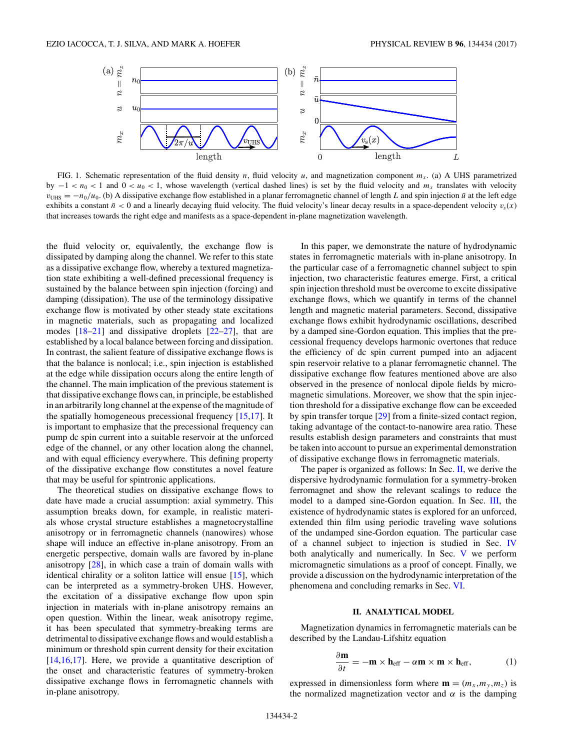<span id="page-1-0"></span>

FIG. 1. Schematic representation of the fluid density *n*, fluid velocity *u*, and magnetization component *mx* . (a) A UHS parametrized by  $-1 < n_0 < 1$  and  $0 < u_0 < 1$ , whose wavelength (vertical dashed lines) is set by the fluid velocity and  $m<sub>x</sub>$  translates with velocity  $v_{\text{UHS}} = -n_0/u_0$ . (b) A dissipative exchange flow established in a planar ferromagnetic channel of length *L* and spin injection *u*<sup>n</sup> at the left edge exhibits a constant  $\bar{n}$  < 0 and a linearly decaying fluid velocity. The fluid velocity's linear decay results in a space-dependent velocity  $v_s(x)$ that increases towards the right edge and manifests as a space-dependent in-plane magnetization wavelength.

the fluid velocity or, equivalently, the exchange flow is dissipated by damping along the channel. We refer to this state as a dissipative exchange flow, whereby a textured magnetization state exhibiting a well-defined precessional frequency is sustained by the balance between spin injection (forcing) and damping (dissipation). The use of the terminology dissipative exchange flow is motivated by other steady state excitations in magnetic materials, such as propagating and localized modes [\[18–21\]](#page-7-0) and dissipative droplets [\[22–27\]](#page-7-0), that are established by a local balance between forcing and dissipation. In contrast, the salient feature of dissipative exchange flows is that the balance is nonlocal; i.e., spin injection is established at the edge while dissipation occurs along the entire length of the channel. The main implication of the previous statement is that dissipative exchange flows can, in principle, be established in an arbitrarily long channel at the expense of the magnitude of the spatially homogeneous precessional frequency [\[15,17\]](#page-7-0). It is important to emphasize that the precessional frequency can pump dc spin current into a suitable reservoir at the unforced edge of the channel, or any other location along the channel, and with equal efficiency everywhere. This defining property of the dissipative exchange flow constitutes a novel feature that may be useful for spintronic applications.

The theoretical studies on dissipative exchange flows to date have made a crucial assumption: axial symmetry. This assumption breaks down, for example, in realistic materials whose crystal structure establishes a magnetocrystalline anisotropy or in ferromagnetic channels (nanowires) whose shape will induce an effective in-plane anisotropy. From an energetic perspective, domain walls are favored by in-plane anisotropy [\[28\]](#page-7-0), in which case a train of domain walls with identical chirality or a soliton lattice will ensue [\[15\]](#page-7-0), which can be interpreted as a symmetry-broken UHS. However, the excitation of a dissipative exchange flow upon spin injection in materials with in-plane anisotropy remains an open question. Within the linear, weak anisotropy regime, it has been speculated that symmetry-breaking terms are detrimental to dissipative exchange flows and would establish a minimum or threshold spin current density for their excitation [\[14,16,17\]](#page-7-0). Here, we provide a quantitative description of the onset and characteristic features of symmetry-broken dissipative exchange flows in ferromagnetic channels with in-plane anisotropy.

In this paper, we demonstrate the nature of hydrodynamic states in ferromagnetic materials with in-plane anisotropy. In the particular case of a ferromagnetic channel subject to spin injection, two characteristic features emerge. First, a critical spin injection threshold must be overcome to excite dissipative exchange flows, which we quantify in terms of the channel length and magnetic material parameters. Second, dissipative exchange flows exhibit hydrodynamic oscillations, described by a damped sine-Gordon equation. This implies that the precessional frequency develops harmonic overtones that reduce the efficiency of dc spin current pumped into an adjacent spin reservoir relative to a planar ferromagnetic channel. The dissipative exchange flow features mentioned above are also observed in the presence of nonlocal dipole fields by micromagnetic simulations. Moreover, we show that the spin injection threshold for a dissipative exchange flow can be exceeded by spin transfer torque [\[29\]](#page-7-0) from a finite-sized contact region, taking advantage of the contact-to-nanowire area ratio. These results establish design parameters and constraints that must be taken into account to pursue an experimental demonstration of dissipative exchange flows in ferromagnetic materials.

The paper is organized as follows: In Sec. II, we derive the dispersive hydrodynamic formulation for a symmetry-broken ferromagnet and show the relevant scalings to reduce the model to a damped sine-Gordon equation. In Sec. [III,](#page-2-0) the existence of hydrodynamic states is explored for an unforced, extended thin film using periodic traveling wave solutions of the undamped sine-Gordon equation. The particular case of a channel subject to injection is studied in Sec. [IV](#page-3-0) both analytically and numerically. In Sec. [V](#page-5-0) we perform micromagnetic simulations as a proof of concept. Finally, we provide a discussion on the hydrodynamic interpretation of the phenomena and concluding remarks in Sec. [VI.](#page-6-0)

#### **II. ANALYTICAL MODEL**

Magnetization dynamics in ferromagnetic materials can be described by the Landau-Lifshitz equation

$$
\frac{\partial \mathbf{m}}{\partial t} = -\mathbf{m} \times \mathbf{h}_{\text{eff}} - \alpha \mathbf{m} \times \mathbf{m} \times \mathbf{h}_{\text{eff}}, \qquad (1)
$$

expressed in dimensionless form where  $\mathbf{m} = (m_x, m_y, m_z)$  is the normalized magnetization vector and  $\alpha$  is the damping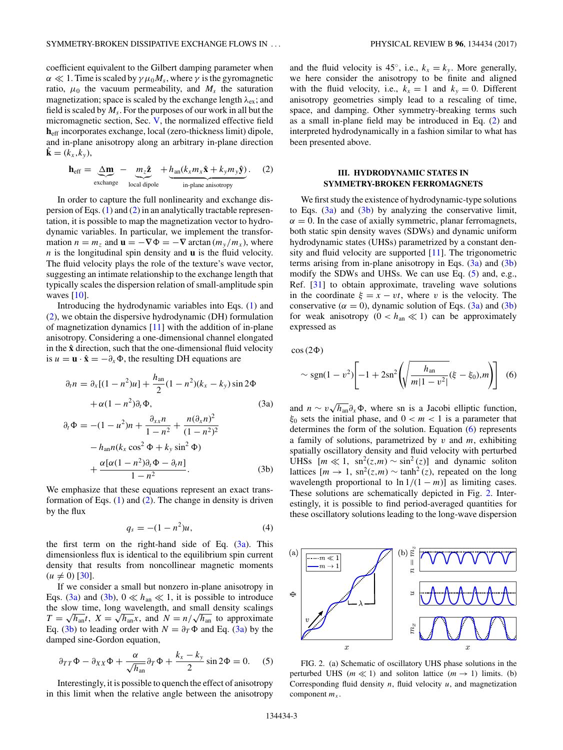<span id="page-2-0"></span>coefficient equivalent to the Gilbert damping parameter when  $\alpha \ll 1$ . Time is scaled by  $\gamma \mu_0 M_s$ , where  $\gamma$  is the gyromagnetic ratio,  $\mu_0$  the vacuum permeability, and  $M_s$  the saturation magnetization; space is scaled by the exchange length *λ*ex; and field is scaled by  $M_s$ . For the purposes of our work in all but the micromagnetic section, Sec. [V,](#page-5-0) the normalized effective field **h**eff incorporates exchange, local (zero-thickness limit) dipole, and in-plane anisotropy along an arbitrary in-plane direction  $\mathbf{k} = (k_x, k_y),$ 

$$
\mathbf{h}_{\text{eff}} = \underbrace{\Delta \mathbf{m}}_{\text{exchange}} - \underbrace{m_z \hat{\mathbf{z}}}_{\text{local dipole}} + \underbrace{h_{\text{an}}(k_x m_x \hat{\mathbf{x}} + k_y m_y \hat{\mathbf{y}})}_{\text{in-plane anisotropy}}.
$$
 (2)

In order to capture the full nonlinearity and exchange dispersion of Eqs. [\(1\)](#page-1-0) and (2) in an analytically tractable representation, it is possible to map the magnetization vector to hydrodynamic variables. In particular, we implement the transformation  $n = m_z$  and  $\mathbf{u} = -\nabla \Phi = -\nabla \arctan(m_y/m_x)$ , where *n* is the longitudinal spin density and **u** is the fluid velocity. The fluid velocity plays the role of the texture's wave vector, suggesting an intimate relationship to the exchange length that typically scales the dispersion relation of small-amplitude spin waves  $[10]$ .

Introducing the hydrodynamic variables into Eqs. [\(1\)](#page-1-0) and (2), we obtain the dispersive hydrodynamic (DH) formulation of magnetization dynamics [\[11\]](#page-7-0) with the addition of in-plane anisotropy. Considering a one-dimensional channel elongated in the  $\hat{x}$  direction, such that the one-dimensional fluid velocity is  $u = \mathbf{u} \cdot \hat{\mathbf{x}} = -\partial_x \Phi$ , the resulting DH equations are

$$
\partial_t n = \partial_x [(1 - n^2)u] + \frac{h_{\text{an}}}{2} (1 - n^2)(k_x - k_y) \sin 2\Phi + \alpha (1 - n^2) \partial_t \Phi,
$$
 (3a)

$$
\partial_t \Phi = -(1 - u^2)n + \frac{\partial_{xx}n}{1 - n^2} + \frac{n(\partial_x n)^2}{(1 - n^2)^2}
$$

$$
-h_{an}n(k_x \cos^2 \Phi + k_y \sin^2 \Phi)
$$

$$
+ \frac{\alpha[\alpha(1 - n^2)\partial_t \Phi - \partial_t n]}{1 - n^2}.
$$
(3b)

We emphasize that these equations represent an exact transformation of Eqs. [\(1\)](#page-1-0) and (2). The change in density is driven by the flux

$$
q_s = -(1 - n^2)u,\t\t(4)
$$

the first term on the right-hand side of Eq.  $(3a)$ . This dimensionless flux is identical to the equilibrium spin current density that results from noncollinear magnetic moments  $(u \neq 0)$  [\[30\]](#page-7-0).

If we consider a small but nonzero in-plane anisotropy in Eqs. (3a) and (3b),  $0 \ll h_{\text{an}} \ll 1$ , it is possible to introduce the slow time, long wavelength, and small density scalings  $T = \sqrt{h_{\text{an}}}t$ ,  $X = \sqrt{h_{\text{an}}}x$ , and  $N = n/\sqrt{h_{\text{an}}}$  to approximate Eq. (3b) to leading order with  $N = \partial_T \Phi$  and Eq. (3a) by the damped sine-Gordon equation,

$$
\partial_{TT}\Phi - \partial_{XX}\Phi + \frac{\alpha}{\sqrt{h_{\rm an}}}\partial_T\Phi + \frac{k_x - k_y}{2}\sin 2\Phi = 0. \tag{5}
$$

Interestingly, it is possible to quench the effect of anisotropy in this limit when the relative angle between the anisotropy and the fluid velocity is 45<sup>°</sup>, i.e.,  $k_x = k_y$ . More generally, we here consider the anisotropy to be finite and aligned with the fluid velocity, i.e.,  $k_x = 1$  and  $k_y = 0$ . Different anisotropy geometries simply lead to a rescaling of time, space, and damping. Other symmetry-breaking terms such as a small in-plane field may be introduced in Eq. (2) and interpreted hydrodynamically in a fashion similar to what has been presented above.

# **III. HYDRODYNAMIC STATES IN SYMMETRY-BROKEN FERROMAGNETS**

We first study the existence of hydrodynamic-type solutions to Eqs.  $(3a)$  and  $(3b)$  by analyzing the conservative limit,  $\alpha = 0$ . In the case of axially symmetric, planar ferromagnets, both static spin density waves (SDWs) and dynamic uniform hydrodynamic states (UHSs) parametrized by a constant density and fluid velocity are supported [\[11\]](#page-7-0). The trigonometric terms arising from in-plane anisotropy in Eqs.  $(3a)$  and  $(3b)$ modify the SDWs and UHSs. We can use Eq. (5) and, e.g., Ref. [\[31\]](#page-7-0) to obtain approximate, traveling wave solutions in the coordinate  $\xi = x - vt$ , where *v* is the velocity. The conservative ( $\alpha = 0$ ), dynamic solution of Eqs. (3a) and (3b) for weak anisotropy  $(0 < h_{\text{an}} \ll 1)$  can be approximately expressed as

 $\cos(2\Phi)$ 

$$
\sim
$$
sgn(1 - v<sup>2</sup>) $\left[-1 + 2\text{sn}^2 \left(\sqrt{\frac{h_{\text{an}}}{m|1 - v^2|}} (\xi - \xi_0), m\right)\right]$  (6)

and  $n \sim v \sqrt{h_{\rm an}} \partial_x \Phi$ , where sn is a Jacobi elliptic function,  $\xi_0$  sets the initial phase, and  $0 < m < 1$  is a parameter that determines the form of the solution. Equation (6) represents a family of solutions, parametrized by *v* and *m*, exhibiting spatially oscillatory density and fluid velocity with perturbed UHSs  $[m \ll 1, \text{sn}^2(z,m) \sim \sin^2(z)]$  and dynamic soliton lattices  $[m \rightarrow 1, \text{sn}^2(z,m) \sim \tanh^2(z)$ , repeated on the long wavelength proportional to  $\ln 1/(1 - m)$ ] as limiting cases. These solutions are schematically depicted in Fig. 2. Interestingly, it is possible to find period-averaged quantities for these oscillatory solutions leading to the long-wave dispersion



FIG. 2. (a) Schematic of oscillatory UHS phase solutions in the perturbed UHS ( $m \ll 1$ ) and soliton lattice ( $m \rightarrow 1$ ) limits. (b) Corresponding fluid density *n*, fluid velocity *u*, and magnetization component  $m<sub>x</sub>$ .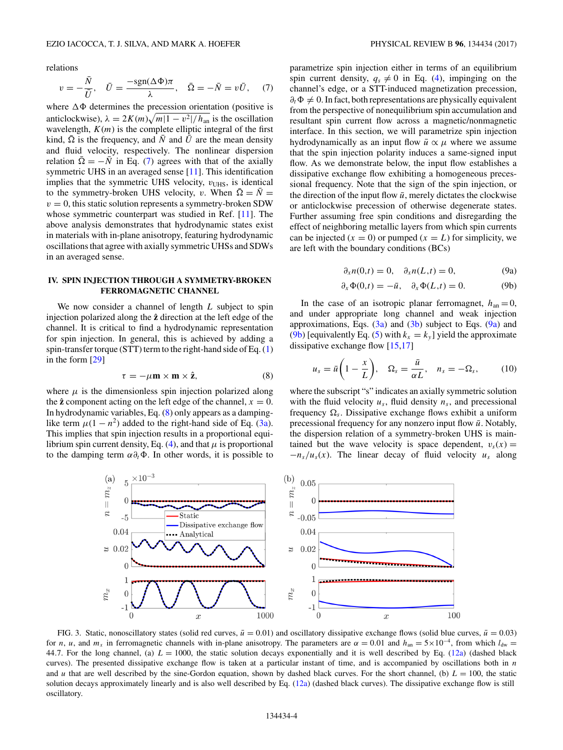<span id="page-3-0"></span>relations

$$
v = -\frac{\bar{N}}{\bar{U}}, \quad \bar{U} = \frac{-\text{sgn}(\Delta \Phi)\pi}{\lambda}, \quad \bar{\Omega} = -\bar{N} = v\bar{U}, \quad (7)
$$

where  $\Delta \Phi$  determines the precession orientation (positive is anticlockwise),  $\lambda = 2K(m)\sqrt{m|1 - v^2|/h_{\text{an}}}$  is the oscillation wavelength,  $K(m)$  is the complete elliptic integral of the first kind,  $\overline{\Omega}$  is the frequency, and  $\overline{N}$  and  $\overline{U}$  are the mean density and fluid velocity, respectively. The nonlinear dispersion relation  $\overline{\Omega} = -\overline{N}$  in Eq. (7) agrees with that of the axially symmetric UHS in an averaged sense [\[11\]](#page-7-0). This identification implies that the symmetric UHS velocity,  $v_{UHS}$ , is identical to the symmetry-broken UHS velocity, *v*. When  $\overline{\Omega} = \overline{N} =$  $v = 0$ , this static solution represents a symmetry-broken SDW whose symmetric counterpart was studied in Ref. [\[11\]](#page-7-0). The above analysis demonstrates that hydrodynamic states exist in materials with in-plane anisotropy, featuring hydrodynamic oscillations that agree with axially symmetric UHSs and SDWs in an averaged sense.

# **IV. SPIN INJECTION THROUGH A SYMMETRY-BROKEN FERROMAGNETIC CHANNEL**

We now consider a channel of length *L* subject to spin injection polarized along the  $\hat{z}$  direction at the left edge of the channel. It is critical to find a hydrodynamic representation for spin injection. In general, this is achieved by adding a spin-transfer torque (STT) term to the right-hand side of Eq. [\(1\)](#page-1-0) in the form [\[29\]](#page-7-0)

$$
\tau = -\mu \mathbf{m} \times \mathbf{m} \times \hat{\mathbf{z}},\tag{8}
$$

where  $\mu$  is the dimensionless spin injection polarized along the  $\hat{z}$  component acting on the left edge of the channel,  $x = 0$ . In hydrodynamic variables, Eq. (8) only appears as a dampinglike term  $\mu(1 - n^2)$  added to the right-hand side of Eq. [\(3a\)](#page-2-0). This implies that spin injection results in a proportional equilibrium spin current density, Eq.  $(4)$ , and that  $\mu$  is proportional to the damping term  $\alpha \partial_t \Phi$ . In other words, it is possible to parametrize spin injection either in terms of an equilibrium spin current density,  $q_s \neq 0$  in Eq. [\(4\)](#page-2-0), impinging on the channel's edge, or a STT-induced magnetization precession,  $\partial_t \Phi \neq 0$ . In fact, both representations are physically equivalent from the perspective of nonequilibrium spin accumulation and resultant spin current flow across a magnetic/nonmagnetic interface. In this section, we will parametrize spin injection hydrodynamically as an input flow  $\bar{u} \propto \mu$  where we assume that the spin injection polarity induces a same-signed input flow. As we demonstrate below, the input flow establishes a dissipative exchange flow exhibiting a homogeneous precessional frequency. Note that the sign of the spin injection, or the direction of the input flow  $\bar{u}$ , merely dictates the clockwise or anticlockwise precession of otherwise degenerate states. Further assuming free spin conditions and disregarding the effect of neighboring metallic layers from which spin currents can be injected  $(x = 0)$  or pumped  $(x = L)$  for simplicity, we are left with the boundary conditions (BCs)

$$
\partial_x n(0,t) = 0, \quad \partial_x n(L,t) = 0,
$$
 (9a)

$$
\partial_x \Phi(0,t) = -\bar{u}, \quad \partial_x \Phi(L,t) = 0. \tag{9b}
$$

In the case of an isotropic planar ferromagnet,  $h_{\text{an}} = 0$ , and under appropriate long channel and weak injection approximations, Eqs.  $(3a)$  and  $(3b)$  subject to Eqs.  $(9a)$  and (9b) [equivalently Eq. [\(5\)](#page-2-0) with  $k_x = k_y$ ] yield the approximate dissipative exchange flow [\[15,17\]](#page-7-0)

$$
u_s = \bar{u}\left(1 - \frac{x}{L}\right), \quad \Omega_s = \frac{\bar{u}}{\alpha L}, \quad n_s = -\Omega_s, \quad (10)
$$

where the subscript "s" indicates an axially symmetric solution with the fluid velocity  $u_s$ , fluid density  $n_s$ , and precessional frequency  $\Omega_s$ . Dissipative exchange flows exhibit a uniform precessional frequency for any nonzero input flow  $\bar{u}$ . Notably, the dispersion relation of a symmetry-broken UHS is maintained but the wave velocity is space dependent,  $v_s(x) =$  $-n_s/u_s(x)$ . The linear decay of fluid velocity  $u_s$  along



FIG. 3. Static, nonoscillatory states (solid red curves,  $\bar{u} = 0.01$ ) and oscillatory dissipative exchange flows (solid blue curves,  $\bar{u} = 0.03$ ) for *n*, *u*, and  $m_x$  in ferromagnetic channels with in-plane anisotropy. The parameters are  $\alpha = 0.01$  and  $h_{an} = 5 \times 10^{-4}$ , from which  $l_{dm} =$ 44.7. For the long channel, (a)  $L = 1000$ , the static solution decays exponentially and it is well described by Eq. [\(12a\)](#page-4-0) (dashed black curves). The presented dissipative exchange flow is taken at a particular instant of time, and is accompanied by oscillations both in *n* and *u* that are well described by the sine-Gordon equation, shown by dashed black curves. For the short channel, (b)  $L = 100$ , the static solution decays approximately linearly and is also well described by Eq. [\(12a\)](#page-4-0) (dashed black curves). The dissipative exchange flow is still oscillatory.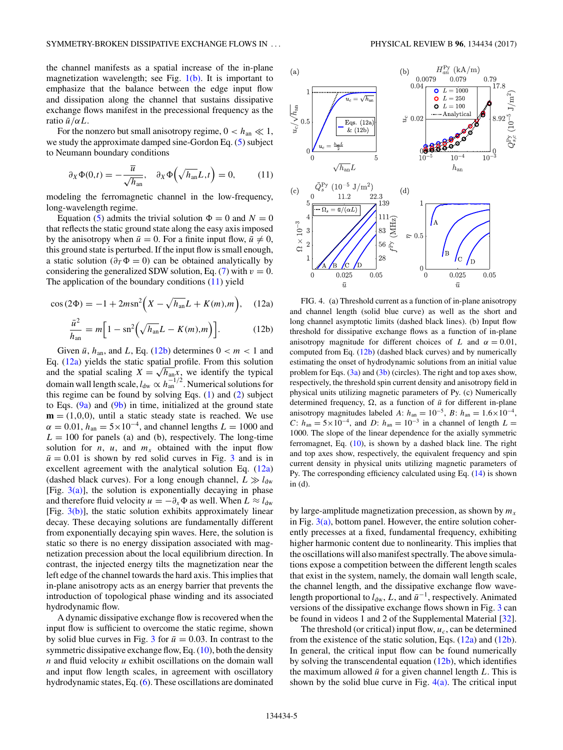<span id="page-4-0"></span>the channel manifests as a spatial increase of the in-plane magnetization wavelength; see Fig.  $1(b)$ . It is important to emphasize that the balance between the edge input flow and dissipation along the channel that sustains dissipative exchange flows manifest in the precessional frequency as the ratio  $\bar{u}/\alpha L$ .

For the nonzero but small anisotropy regime,  $0 < h_{\text{an}} \ll 1$ , we study the approximate damped sine-Gordon Eq. [\(5\)](#page-2-0) subject to Neumann boundary conditions

$$
\partial_X \Phi(0,t) = -\frac{\overline{u}}{\sqrt{h_{\text{an}}}}, \quad \partial_X \Phi\left(\sqrt{h_{\text{an}}}L,t\right) = 0, \quad (11)
$$

modeling the ferromagnetic channel in the low-frequency, long-wavelength regime.

Equation [\(5\)](#page-2-0) admits the trivial solution  $\Phi = 0$  and  $N = 0$ that reflects the static ground state along the easy axis imposed by the anisotropy when  $\bar{u} = 0$ . For a finite input flow,  $\bar{u} \neq 0$ , this ground state is perturbed. If the input flow is small enough, a static solution ( $\partial_T \Phi = 0$ ) can be obtained analytically by considering the generalized SDW solution, Eq. [\(7\)](#page-3-0) with  $v = 0$ . The application of the boundary conditions (11) yield

$$
\cos(2\Phi) = -1 + 2m \sin^2\left(X - \sqrt{h_{\text{an}}}L + K(m), m\right), \quad (12a)
$$

$$
\frac{\bar{u}^2}{h_{\text{an}}} = m \Big[ 1 - \text{sn}^2 \Big( \sqrt{h_{\text{an}}} L - K(m), m \Big) \Big]. \tag{12b}
$$

Given  $\bar{u}$ ,  $h_{\text{an}}$ , and *L*, Eq. (12b) determines  $0 < m < 1$  and Eq. (12a) yields the static spatial profile. From this solution and the spatial scaling  $X = \sqrt{h_{an}x}$ , we identify the typical domain wall length scale,  $l_{dw} \propto h_{an}^{-1/2}$ . Numerical solutions for this regime can be found by solving Eqs.  $(1)$  and  $(2)$  subject to Eqs.  $(9a)$  and  $(9b)$  in time, initialized at the ground state **, until a static steady state is reached. We use**  $\alpha = 0.01$ ,  $h_{\text{an}} = 5 \times 10^{-4}$ , and channel lengths  $L = 1000$  and  $L = 100$  for panels (a) and (b), respectively. The long-time solution for *n*, *u*, and  $m<sub>x</sub>$  obtained with the input flow  $\bar{u} = 0.01$  is shown by red solid curves in Fig. [3](#page-3-0) and is in excellent agreement with the analytical solution Eq. (12a) (dashed black curves). For a long enough channel,  $L \gg l_{dw}$ [Fig.  $3(a)$ ], the solution is exponentially decaying in phase and therefore fluid velocity  $u = -\partial_x \Phi$  as well. When  $L \approx l_{dw}$ [Fig.  $3(b)$ ], the static solution exhibits approximately linear decay. These decaying solutions are fundamentally different from exponentially decaying spin waves. Here, the solution is static so there is no energy dissipation associated with magnetization precession about the local equilibrium direction. In contrast, the injected energy tilts the magnetization near the left edge of the channel towards the hard axis. This implies that in-plane anisotropy acts as an energy barrier that prevents the introduction of topological phase winding and its associated hydrodynamic flow.

A dynamic dissipative exchange flow is recovered when the input flow is sufficient to overcome the static regime, shown by solid blue curves in Fig. [3](#page-3-0) for  $\bar{u} = 0.03$ . In contrast to the symmetric dissipative exchange flow, Eq. [\(10\)](#page-3-0), both the density *n* and fluid velocity *u* exhibit oscillations on the domain wall and input flow length scales, in agreement with oscillatory hydrodynamic states, Eq. [\(6\)](#page-2-0). These oscillations are dominated



FIG. 4. (a) Threshold current as a function of in-plane anisotropy and channel length (solid blue curve) as well as the short and long channel asymptotic limits (dashed black lines). (b) Input flow threshold for dissipative exchange flows as a function of in-plane anisotropy magnitude for different choices of *L* and  $\alpha = 0.01$ , computed from Eq. (12b) (dashed black curves) and by numerically estimating the onset of hydrodynamic solutions from an initial value problem for Eqs.  $(3a)$  and  $(3b)$  (circles). The right and top axes show, respectively, the threshold spin current density and anisotropy field in physical units utilizing magnetic parameters of Py. (c) Numerically determined frequency,  $\Omega$ , as a function of  $\bar{u}$  for different in-plane anisotropy magnitudes labeled *A*:  $h_{an} = 10^{-5}$ , *B*:  $h_{an} = 1.6 \times 10^{-4}$ , *C*:  $h_{\text{an}} = 5 \times 10^{-4}$ , and *D*:  $h_{\text{an}} = 10^{-3}$  in a channel of length  $L =$ 1000. The slope of the linear dependence for the axially symmetric ferromagnet, Eq. [\(10\)](#page-3-0), is shown by a dashed black line. The right and top axes show, respectively, the equivalent frequency and spin current density in physical units utilizing magnetic parameters of Py. The corresponding efficiency calculated using Eq. [\(14\)](#page-5-0) is shown in (d).

by large-amplitude magnetization precession, as shown by  $m<sub>x</sub>$ in Fig.  $3(a)$ , bottom panel. However, the entire solution coherently precesses at a fixed, fundamental frequency, exhibiting higher harmonic content due to nonlinearity. This implies that the oscillations will also manifest spectrally. The above simulations expose a competition between the different length scales that exist in the system, namely, the domain wall length scale, the channel length, and the dissipative exchange flow wavelength proportional to *l*<sub>dw</sub>, *L*, and  $\bar{u}^{-1}$ , respectively. Animated versions of the dissipative exchange flows shown in Fig. [3](#page-3-0) can be found in videos 1 and 2 of the Supplemental Material [\[32\]](#page-7-0).

The threshold (or critical) input flow,  $u_c$ , can be determined from the existence of the static solution, Eqs.  $(12a)$  and  $(12b)$ . In general, the critical input flow can be found numerically by solving the transcendental equation  $(12b)$ , which identifies the maximum allowed  $\bar{u}$  for a given channel length  $L$ . This is shown by the solid blue curve in Fig.  $4(a)$ . The critical input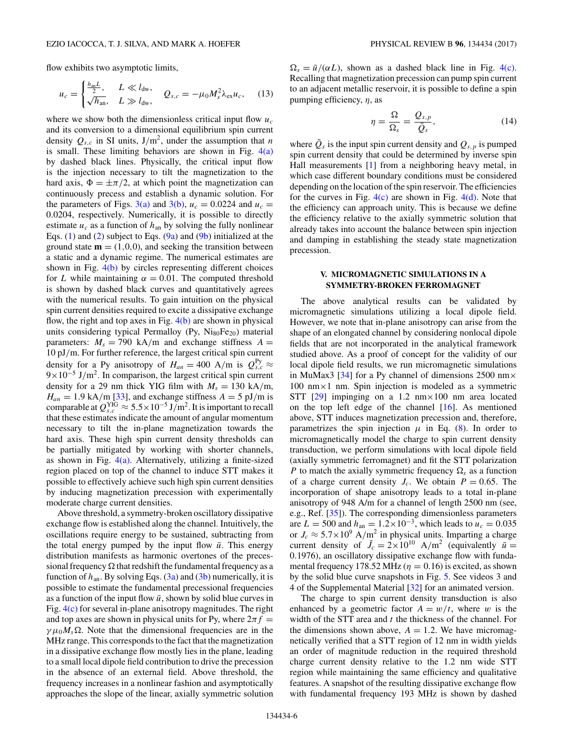<span id="page-5-0"></span>flow exhibits two asymptotic limits,

$$
u_c = \begin{cases} \frac{h_{\rm m}L}{2}, & L \ll l_{\rm dw},\\ \sqrt{h_{\rm am}}, & L \gg l_{\rm dw}, \end{cases} \quad Q_{s,c} = -\mu_0 M_s^2 \lambda_{\rm ex} u_c, \tag{13}
$$

where we show both the dimensionless critical input flow  $u_c$ and its conversion to a dimensional equilibrium spin current density  $Q_{s,c}$  in SI units,  $J/m^2$ , under the assumption that *n* is small. These limiting behaviors are shown in Fig.  $4(a)$ by dashed black lines. Physically, the critical input flow is the injection necessary to tilt the magnetization to the hard axis,  $\Phi = \pm \pi/2$ , at which point the magnetization can continuously precess and establish a dynamic solution. For the parameters of Figs. [3\(a\)](#page-3-0) and [3\(b\),](#page-3-0)  $u_c = 0.0224$  and  $u_c =$ 0*.*0204, respectively. Numerically, it is possible to directly estimate  $u_c$  as a function of  $h_{an}$  by solving the fully nonlinear Eqs. [\(1\)](#page-1-0) and [\(2\)](#page-2-0) subject to Eqs.  $(9a)$  and  $(9b)$  initialized at the ground state  $\mathbf{m} = (1,0,0)$ , and seeking the transition between a static and a dynamic regime. The numerical estimates are shown in Fig. [4\(b\)](#page-4-0) by circles representing different choices for *L* while maintaining  $\alpha = 0.01$ . The computed threshold is shown by dashed black curves and quantitatively agrees with the numerical results. To gain intuition on the physical spin current densities required to excite a dissipative exchange flow, the right and top axes in Fig.  $4(b)$  are shown in physical units considering typical Permalloy (Py,  $Ni_{80}Fe_{20}$ ) material parameters:  $M_s = 790 \text{ kA/m}$  and exchange stiffness  $A =$ 10 pJ*/*m. For further reference, the largest critical spin current density for a Py anisotropy of  $H_{an} = 400 \text{ A/m}$  is  $Q_{s,c}^{\text{Py}} \approx$ <sup>9</sup>×10−<sup>5</sup> <sup>J</sup>*/*m2 . In comparison, the largest critical spin current density for a 29 nm thick YIG film with  $M_s = 130$  kA/m,  $H_{an} = 1.9$  kA/m [\[33\]](#page-7-0), and exchange stiffness  $A = 5$  pJ/m is comparable at  $Q_{s,c}^{YIG} \approx 5.5 \times 10^{-5} \text{ J/m}^2$ . It is important to recall that these estimates indicate the amount of angular momentum necessary to tilt the in-plane magnetization towards the hard axis. These high spin current density thresholds can be partially mitigated by working with shorter channels, as shown in Fig.  $4(a)$ . Alternatively, utilizing a finite-sized region placed on top of the channel to induce STT makes it possible to effectively achieve such high spin current densities by inducing magnetization precession with experimentally moderate charge current densities.

Above threshold, a symmetry-broken oscillatory dissipative exchange flow is established along the channel. Intuitively, the oscillations require energy to be sustained, subtracting from the total energy pumped by the input flow  $\bar{u}$ . This energy distribution manifests as harmonic overtones of the precessional frequency  $\Omega$  that redshift the fundamental frequency as a function of  $h_{an}$ . By solving Eqs. [\(3a\)](#page-2-0) and [\(3b\)](#page-2-0) numerically, it is possible to estimate the fundamental precessional frequencies as a function of the input flow  $\bar{u}$ , shown by solid blue curves in Fig. [4\(c\)](#page-4-0) for several in-plane anisotropy magnitudes. The right and top axes are shown in physical units for Py, where  $2\pi f$  =  $\gamma \mu_0 M_s \Omega$ . Note that the dimensional frequencies are in the MHz range. This corresponds to the fact that the magnetization in a dissipative exchange flow mostly lies in the plane, leading to a small local dipole field contribution to drive the precession in the absence of an external field. Above threshold, the frequency increases in a nonlinear fashion and asymptotically approaches the slope of the linear, axially symmetric solution

 $\Omega_s = \bar{u}/(\alpha L)$ , shown as a dashed black line in Fig. [4\(c\).](#page-4-0) Recalling that magnetization precession can pump spin current to an adjacent metallic reservoir, it is possible to define a spin pumping efficiency, *η*, as

$$
\eta = \frac{\Omega}{\Omega_s} = \frac{Q_{s,p}}{\bar{Q}_s},\tag{14}
$$

where  $\overline{Q}_s$  is the input spin current density and  $Q_{s,p}$  is pumped spin current density that could be determined by inverse spin Hall measurements [\[1\]](#page-6-0) from a neighboring heavy metal, in which case different boundary conditions must be considered depending on the location of the spin reservoir. The efficiencies for the curves in Fig.  $4(c)$  are shown in Fig.  $4(d)$ . Note that the efficiency can approach unity. This is because we define the efficiency relative to the axially symmetric solution that already takes into account the balance between spin injection and damping in establishing the steady state magnetization precession.

# **V. MICROMAGNETIC SIMULATIONS IN A SYMMETRY-BROKEN FERROMAGNET**

The above analytical results can be validated by micromagnetic simulations utilizing a local dipole field. However, we note that in-plane anisotropy can arise from the shape of an elongated channel by considering nonlocal dipole fields that are not incorporated in the analytical framework studied above. As a proof of concept for the validity of our local dipole field results, we run micromagnetic simulations in MuMax3 [\[34\]](#page-7-0) for a Py channel of dimensions  $2500$  nm $\times$  $100 \text{ nm} \times 1 \text{ nm}$ . Spin injection is modeled as a symmetric STT [\[29\]](#page-7-0) impinging on a 1.2 nm $\times$ 100 nm area located on the top left edge of the channel [\[16\]](#page-7-0). As mentioned above, STT induces magnetization precession and, therefore, parametrizes the spin injection  $\mu$  in Eq. [\(8\)](#page-3-0). In order to micromagnetically model the charge to spin current density transduction, we perform simulations with local dipole field (axially symmetric ferromagnet) and fit the STT polarization *P* to match the axially symmetric frequency  $\Omega_s$  as a function of a charge current density  $J_c$ . We obtain  $P = 0.65$ . The incorporation of shape anisotropy leads to a total in-plane anisotropy of 948 A/m for a channel of length 2500 nm (see, e.g., Ref. [\[35\]](#page-7-0)). The corresponding dimensionless parameters are  $L = 500$  and  $h_{\text{an}} = 1.2 \times 10^{-3}$ , which leads to  $u_c = 0.035$ or  $J_c \approx 5.7 \times 10^9$  A/m<sup>2</sup> in physical units. Imparting a charge current density of  $\bar{J}_c = 2 \times 10^{10}$  A/m<sup>2</sup> (equivalently  $\bar{u} =$ 0*.*1976), an oscillatory dissipative exchange flow with fundamental frequency 178.52 MHz ( $\eta = 0.16$ ) is excited, as shown by the solid blue curve snapshots in Fig. [5.](#page-6-0) See videos 3 and 4 of the Supplemental Material [\[32\]](#page-7-0) for an animated version.

The charge to spin current density transduction is also enhanced by a geometric factor  $A = w/t$ , where *w* is the width of the STT area and *t* the thickness of the channel. For the dimensions shown above,  $A = 1.2$ . We have micromagnetically verified that a STT region of 12 nm in width yields an order of magnitude reduction in the required threshold charge current density relative to the 1.2 nm wide STT region while maintaining the same efficiency and qualitative features. A snapshot of the resulting dissipative exchange flow with fundamental frequency 193 MHz is shown by dashed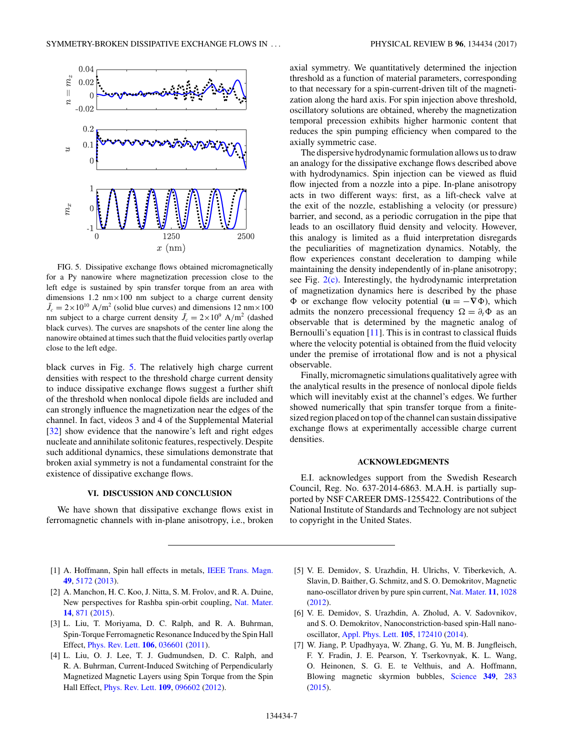<span id="page-6-0"></span>

FIG. 5. Dissipative exchange flows obtained micromagnetically for a Py nanowire where magnetization precession close to the left edge is sustained by spin transfer torque from an area with dimensions  $1.2 \, \text{nm} \times 100 \, \text{nm}$  subject to a charge current density  $\bar{J}_c = 2 \times 10^{10} \text{ A/m}^2$  (solid blue curves) and dimensions 12 nm × 100 nm subject to a charge current density  $\bar{J}_c = 2 \times 10^9$  A/m<sup>2</sup> (dashed black curves). The curves are snapshots of the center line along the nanowire obtained at times such that the fluid velocities partly overlap close to the left edge.

black curves in Fig. 5. The relatively high charge current densities with respect to the threshold charge current density to induce dissipative exchange flows suggest a further shift of the threshold when nonlocal dipole fields are included and can strongly influence the magnetization near the edges of the channel. In fact, videos 3 and 4 of the Supplemental Material [\[32\]](#page-7-0) show evidence that the nanowire's left and right edges nucleate and annihilate solitonic features, respectively. Despite such additional dynamics, these simulations demonstrate that broken axial symmetry is not a fundamental constraint for the existence of dissipative exchange flows.

### **VI. DISCUSSION AND CONCLUSION**

We have shown that dissipative exchange flows exist in ferromagnetic channels with in-plane anisotropy, i.e., broken axial symmetry. We quantitatively determined the injection threshold as a function of material parameters, corresponding to that necessary for a spin-current-driven tilt of the magnetization along the hard axis. For spin injection above threshold, oscillatory solutions are obtained, whereby the magnetization temporal precession exhibits higher harmonic content that reduces the spin pumping efficiency when compared to the axially symmetric case.

The dispersive hydrodynamic formulation allows us to draw an analogy for the dissipative exchange flows described above with hydrodynamics. Spin injection can be viewed as fluid flow injected from a nozzle into a pipe. In-plane anisotropy acts in two different ways: first, as a lift-check valve at the exit of the nozzle, establishing a velocity (or pressure) barrier, and second, as a periodic corrugation in the pipe that leads to an oscillatory fluid density and velocity. However, this analogy is limited as a fluid interpretation disregards the peculiarities of magnetization dynamics. Notably, the flow experiences constant deceleration to damping while maintaining the density independently of in-plane anisotropy; see Fig. [2\(c\).](#page-2-0) Interestingly, the hydrodynamic interpretation of magnetization dynamics here is described by the phase or exchange flow velocity potential (**u** = −**∇**), which admits the nonzero precessional frequency  $\Omega = \partial_t \Phi$  as an observable that is determined by the magnetic analog of Bernoulli's equation [\[11\]](#page-7-0). This is in contrast to classical fluids where the velocity potential is obtained from the fluid velocity under the premise of irrotational flow and is not a physical observable.

Finally, micromagnetic simulations qualitatively agree with the analytical results in the presence of nonlocal dipole fields which will inevitably exist at the channel's edges. We further showed numerically that spin transfer torque from a finitesized region placed on top of the channel can sustain dissipative exchange flows at experimentally accessible charge current densities.

#### **ACKNOWLEDGMENTS**

E.I. acknowledges support from the Swedish Research Council, Reg. No. 637-2014-6863. M.A.H. is partially supported by NSF CAREER DMS-1255422. Contributions of the National Institute of Standards and Technology are not subject to copyright in the United States.

- [1] A. Hoffmann, Spin hall effects in metals, [IEEE Trans. Magn.](https://doi.org/10.1109/TMAG.2013.2262947) **[49](https://doi.org/10.1109/TMAG.2013.2262947)**, [5172](https://doi.org/10.1109/TMAG.2013.2262947) [\(2013\)](https://doi.org/10.1109/TMAG.2013.2262947).
- [2] A. Manchon, H. C. Koo, J. Nitta, S. M. Frolov, and R. A. Duine, New perspectives for Rashba spin-orbit coupling, [Nat. Mater.](https://doi.org/10.1038/nmat4360) **[14](https://doi.org/10.1038/nmat4360)**, [871](https://doi.org/10.1038/nmat4360) [\(2015\)](https://doi.org/10.1038/nmat4360).
- [3] L. Liu, T. Moriyama, D. C. Ralph, and R. A. Buhrman, Spin-Torque Ferromagnetic Resonance Induced by the Spin Hall Effect, [Phys. Rev. Lett.](https://doi.org/10.1103/PhysRevLett.106.036601) **[106](https://doi.org/10.1103/PhysRevLett.106.036601)**, [036601](https://doi.org/10.1103/PhysRevLett.106.036601) [\(2011\)](https://doi.org/10.1103/PhysRevLett.106.036601).
- [4] L. Liu, O. J. Lee, T. J. Gudmundsen, D. C. Ralph, and R. A. Buhrman, Current-Induced Switching of Perpendicularly Magnetized Magnetic Layers using Spin Torque from the Spin Hall Effect, [Phys. Rev. Lett.](https://doi.org/10.1103/PhysRevLett.109.096602) **[109](https://doi.org/10.1103/PhysRevLett.109.096602)**, [096602](https://doi.org/10.1103/PhysRevLett.109.096602) [\(2012\)](https://doi.org/10.1103/PhysRevLett.109.096602).
- [5] V. E. Demidov, S. Urazhdin, H. Ulrichs, V. Tiberkevich, A. Slavin, D. Baither, G. Schmitz, and S. O. Demokritov, Magnetic nano-oscillator driven by pure spin current, [Nat. Mater.](https://doi.org/10.1038/NMAT3459) **[11](https://doi.org/10.1038/NMAT3459)**, [1028](https://doi.org/10.1038/NMAT3459) [\(2012\)](https://doi.org/10.1038/NMAT3459).
- [6] V. E. Demidov, S. Urazhdin, A. Zholud, A. V. Sadovnikov, and S. O. Demokritov, Nanoconstriction-based spin-Hall nanooscillator, [Appl. Phys. Lett.](https://doi.org/10.1063/1.4901027) **[105](https://doi.org/10.1063/1.4901027)**, [172410](https://doi.org/10.1063/1.4901027) [\(2014\)](https://doi.org/10.1063/1.4901027).
- [7] W. Jiang, P. Upadhyaya, W. Zhang, G. Yu, M. B. Jungfleisch, F. Y. Fradin, J. E. Pearson, Y. Tserkovnyak, K. L. Wang, O. Heinonen, S. G. E. te Velthuis, and A. Hoffmann, Blowing magnetic skyrmion bubbles, [Science](https://doi.org/10.1126/science.aaa1442) **[349](https://doi.org/10.1126/science.aaa1442)**, [283](https://doi.org/10.1126/science.aaa1442) [\(2015\)](https://doi.org/10.1126/science.aaa1442).